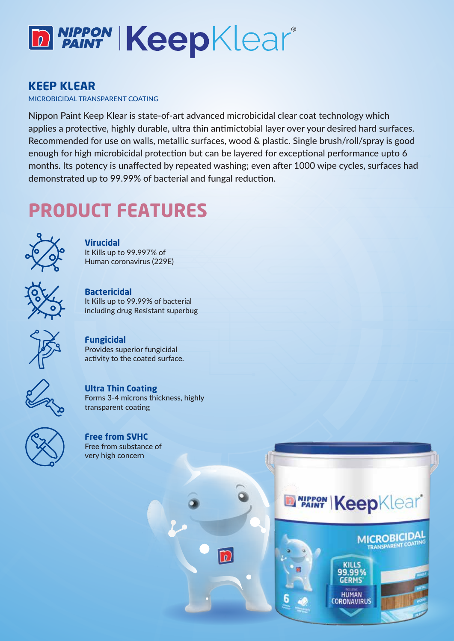

#### **KEEP KLEAR**

MICROBICIDAL TRANSPARENT COATING

Nippon Paint Keep Klear is state-of-art advanced microbicidal clear coat technology which applies a protective, highly durable, ultra thin antimictobial layer over your desired hard surfaces. Recommended for use on walls, metallic surfaces, wood & plastic. Single brush/roll/spray is good enough for high microbicidal protection but can be layered for exceptional performance upto 6 months. Its potency is unaffected by repeated washing; even after 1000 wipe cycles, surfaces had demonstrated up to 99.99% of bacterial and fungal reduction.

m

## **PRODUCT FEATURES**



**Virucidal** It Kills up to 99.997% of Human coronavirus (229E)

**Bactericidal**  It Kills up to 99.99% of bacterial including drug Resistant superbug



**Fungicidal** Provides superior fungicidal activity to the coated surface.



**Ultra Thin Coating** Forms 3-4 microns thickness, highly transparent coating



**Free from SVHC** Free from substance of very high concern



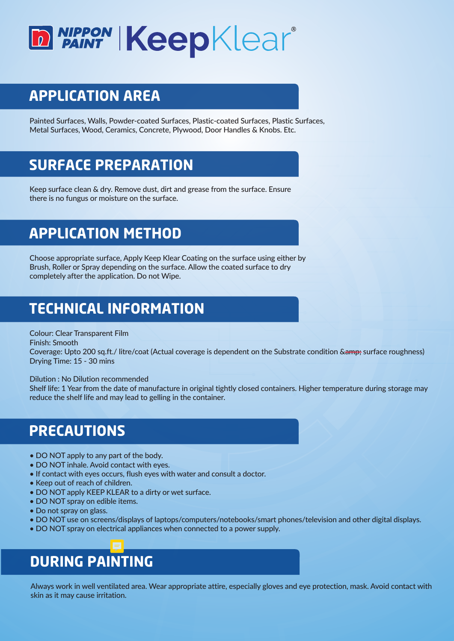

### **APPLICATION AREA**

Painted Surfaces, Walls, Powder-coated Surfaces, Plastic-coated Surfaces, Plastic Surfaces, Metal Surfaces, Wood, Ceramics, Concrete, Plywood, Door Handles & Knobs. Etc.

### **SURFACE PREPARATION**

Keep surface clean & dry. Remove dust, dirt and grease from the surface. Ensure there is no fungus or moisture on the surface.

### **APPLICATION METHOD**

Choose appropriate surface, Apply Keep Klear Coating on the surface using either by Brush, Roller or Spray depending on the surface. Allow the coated surface to dry completely after the application. Do not Wipe.

### **TECHNICAL INFORMATION**

Colour: Clear Transparent Film

Finish: Smooth

Coverage: Upto 200 sq.ft./ litre/coat (Actual coverage is dependent on the Substrate condition & amp; surface roughness) Drying Time: 15 - 30 mins

#### Dilution : No Dilution recommended

Shelf life: 1 Year from the date of manufacture in original tightly closed containers. Higher temperature during storage may reduce the shelf life and may lead to gelling in the container.

### **PRECAUTIONS**

- DO NOT apply to any part of the body.
- DO NOT inhale. Avoid contact with eyes.
- If contact with eyes occurs, flush eyes with water and consult a doctor.
- Keep out of reach of children.
- DO NOT apply KEEP KLEAR to a dirty or wet surface.
- DO NOT spray on edible items.
- Do not spray on glass.
- DO NOT use on screens/displays of laptops/computers/notebooks/smart phones/television and other digital displays.
- DO NOT spray on electrical appliances when connected to a power supply.

# **DURING PAINTING**

Always work in well ventilated area. Wear appropriate attire, especially gloves and eye protection, mask. Avoid contact with skin as it may cause irritation.